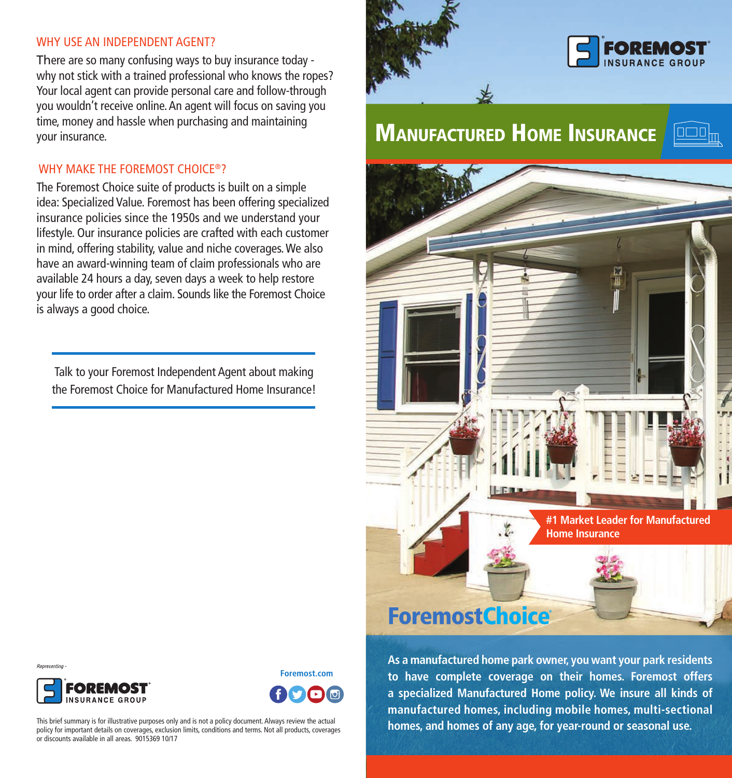## WHY USE AN INDEPENDENT AGENT?

There are so many confusing ways to buy insurance today why not stick with a trained professional who knows the ropes? Your local agent can provide personal care and follow-through you wouldn't receive online. An agent will focus on saving you time, money and hassle when purchasing and maintaining your insurance.

# WHY MAKE THE FOREMOST CHOICE<sup>®</sup>?

The Foremost Choice suite of products is built on a simple idea: Specialized Value. Foremost has been offering specialized insurance policies since the 1950s and we understand your lifestyle. Our insurance policies are crafted with each customer in mind, offering stability, value and niche coverages. We also have an award-winning team of claim professionals who are available 24 hours a day, seven days a week to help restore your life to order after a claim. Sounds like the Foremost Choice is always a good choice.

Talk to your Foremost Independent Agent about making the Foremost Choice for Manufactured Home Insurance!



# **ForemostChoice**

**As a manufactured home park owner, you want your park residents to have complete coverage on their homes. Foremost offers a specialized Manufactured Home policy. We insure all kinds of manufactured homes, including mobile homes, multi-sectional homes, and homes of any age, for year-round or seasonal use.**

Representing



This brief summary is for illustrative purposes only and is not a policy document. Always review the actual policy for important details on coverages, exclusion limits, conditions and terms. Not all products, coverages or discounts available in all areas. 9015369 10/17

**Foremost.com**